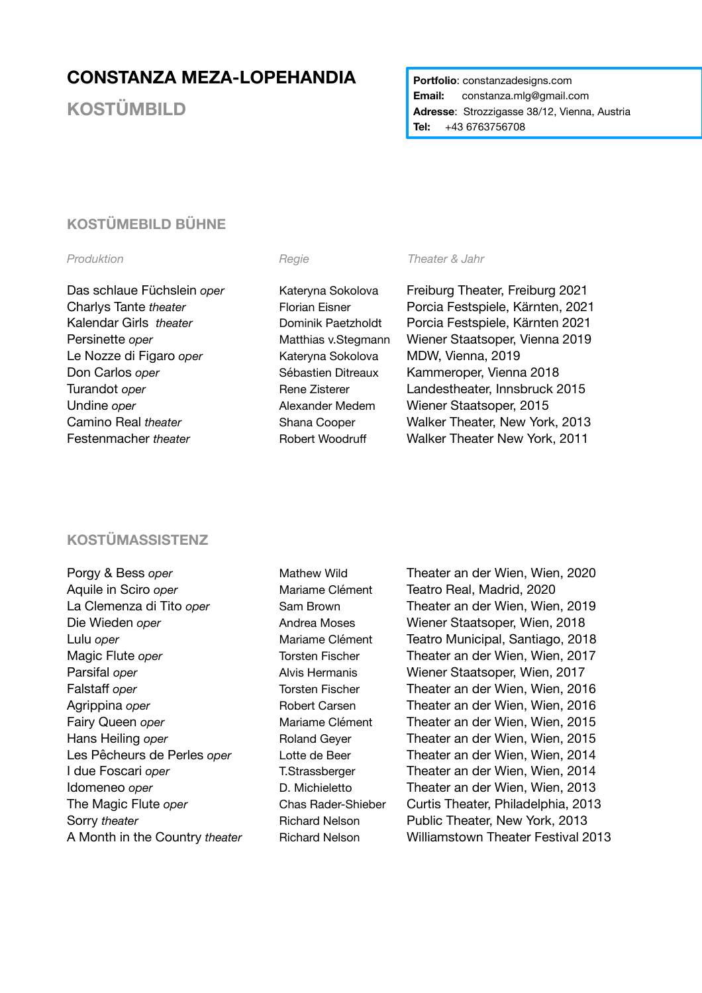# **CONSTANZA MEZA-LOPEHANDIA**

**KOSTÜMBILD**

**Portfolio: constanzadesigns.com Email:** constanza.mlg@gmail.com **Adresse**: Strozzigasse 38/12, Vienna, Austria **Tel:** +43 6763756708

## **KOSTÜMEBILD BÜHNE**

Le Nozze di Figaro *oper* Kateryna Sokolova MDW, Vienna, 2019 Don Carlos *oper* Sébastien Ditreaux Kammeroper, Vienna 2018 Undine *oper* Alexander Medem Wiener Staatsoper, 2015

### **Produktion** *Regie Regie**Theater & Jahr Regie <i>Regie*

Das schlaue Füchslein *oper* Kateryna Sokolova Freiburg Theater, Freiburg 2021 Charlys Tante *theater* Florian Eisner Porcia Festspiele, Kärnten, 2021 Kalendar Girls *theater* Dominik Paetzholdt Porcia Festspiele, Kärnten 2021 Persinette *oper* **Natthias v.Stegmann** Wiener Staatsoper, Vienna 2019 Turandot *oper* Turandot *oper* Rene Zisterer Landestheater, Innsbruck 2015 Camino Real *theater* Shana Cooper Walker Theater, New York, 2013 Festenmacher *theater* **Robert Woodruff** Walker Theater New York, 2011

### **KOSTÜMASSISTENZ**

Aquile in Sciro *oper* Mariame Clément Teatro Real, Madrid, 2020

Porgy & Bess *oper* Mathew Wild **Theater an der Wien, Wien, 2020** La Clemenza di Tito *oper* Sam Brown **Theater an der Wien, Wien, 2019** Die Wieden *oper* Andrea Moses Wiener Staatsoper, Wien, 2018 Lulu *oper* Mariame Clément Teatro Municipal, Santiago, 2018 Magic Flute *oper* Torsten Fischer Theater an der Wien, Wien, 2017 Parsifal *oper* **Alvis Hermanis** Wiener Staatsoper, Wien, 2017 Falstaff *oper* Torsten Fischer Theater an der Wien, Wien, 2016 Agrippina *oper* **Robert Carsen** Theater an der Wien, Wien, 2016 Fairy Queen *oper* Mariame Clément Theater an der Wien, Wien, 2015 Hans Heiling *oper* **Roland Geyer Reater an der Wien, Wien, 2015** Les Pêcheurs de Perles *oper* Lotte de Beer Theater an der Wien, Wien, 2014 I due Foscari *oper* T.Strassberger Theater an der Wien, Wien, 2014 Idomeneo *oper* **D. Michieletto D. Theater an der Wien, Wien, 2013** The Magic Flute *oper* Chas Rader-Shieber Curtis Theater, Philadelphia, 2013 Sorry *theater* **Richard Nelson** Public Theater, New York, 2013 A Month in the Country *theater* Richard Nelson Williamstown Theater Festival 2013